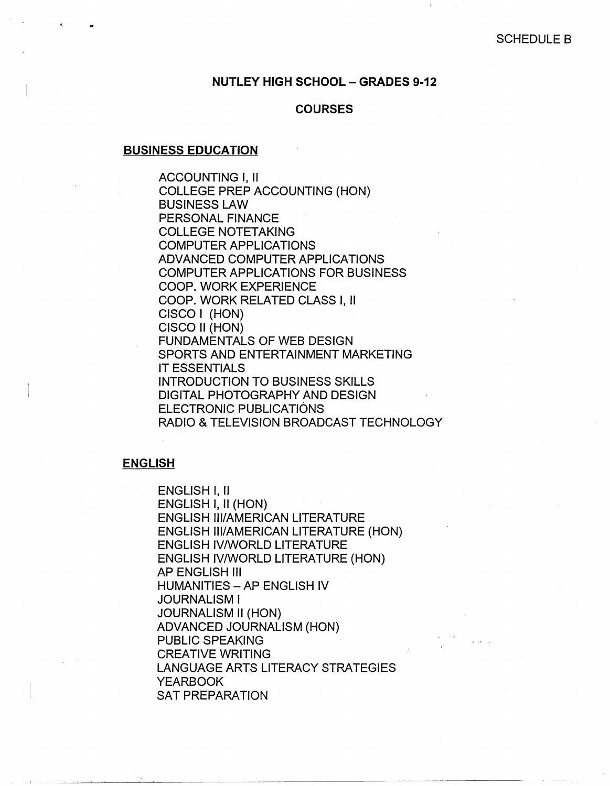### **NUTLEY HIGH SCHOOL - GRADES 9-12**

### **COURSES**

#### **BUSINESS EDUCATION**

ACCOUNTING I, II COLLEGE PREP ACCOUNTING (HON) BUSINESS LAW PERSONAL FINANCE COLLEGE NOTETAKING COMPUTER APPLICATIONS ADVANCED COMPUTER APPLICATIONS COMPUTER APPLICATIONS FOR BUSINESS COOP. WORK EXPERIENCE COOP. WORK RELATED CLASS I, II CISCO I (HON) CISCO II (HON) FUNDAMENTALS OF WEB DESIGN SPORTS AND ENTERTAINMENT MARKETING IT ESSENTIALS INTRODUCTION TO BUSINESS SKILLS DIGITAL PHOTOGRAPHY AND DESIGN ELECTRONIC PUBLICATIONS RADIO & TELEVISION BROADCAST TECHNOLOGY

### **ENGLISH**

ENGLISH I, II ENGLISH I, II (HON) ENGLISH Ill/AMERICAN LITERATURE ENGLISH Ill/AMERICAN LITERATURE (HON) ENGLISH IV/WORLD LITERATURE ENGLISH IV/WORLD LITERATURE (HON) AP ENGLISH Ill HUMANITIES - AP ENGLISH IV JOURNALISM I JOURNALISM II (HON) ADVANCED JOURNALISM (HON) PUBLIC SPEAKING CREATIVE WRITING LANGUAGE ARTS LITERACY STRATEGIES YEARBOOK SAT PREPARATION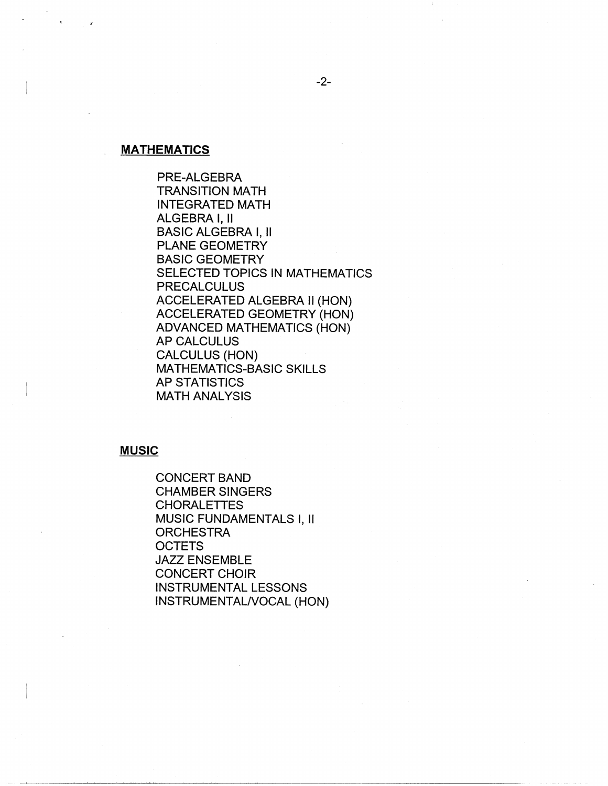# **MATHEMATICS**

PRE-ALGEBRA TRANSITION MATH INTEGRATED MATH ALGEBRA I, II BASIC ALGEBRA I, II PLANE GEOMETRY BASIC GEOMETRY SELECTED TOPICS IN MATHEMATICS PRECALCULUS ACCELERATED ALGEBRA II (HON) ACCELERATED GEOMETRY (HON) ADVANCED MATHEMATICS (HON) AP CALCULUS CALCULUS (HON) MATHEMATICS-BASIC SKILLS AP STATISTICS MATH ANALYSIS

### **MUSIC**

CONCERT BAND CHAMBER SINGERS CHORALETTES MUSIC FUNDAMENTALS I, II **ORCHESTRA OCTETS** JAZZ ENSEMBLE CONCERT CHOIR INSTRUMENTAL LESSONS INSTRUMENTAL/VOCAL (HON)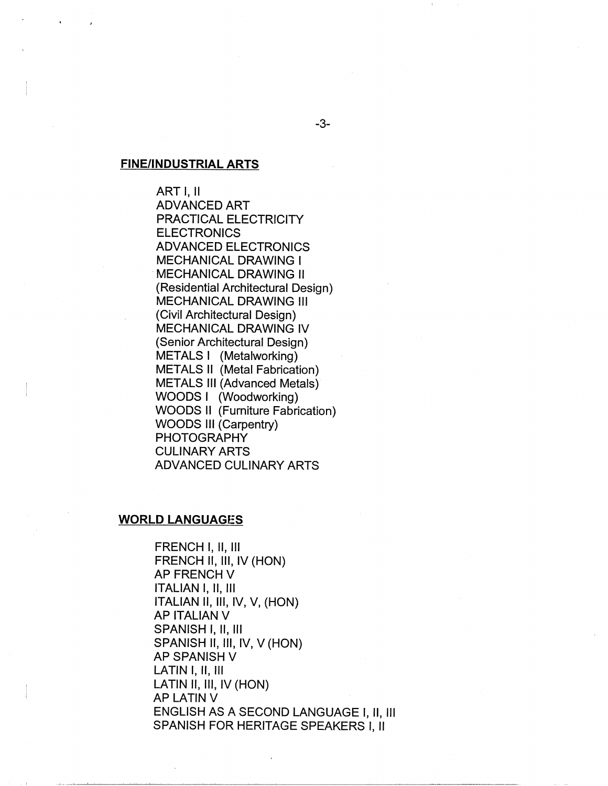## **FINE/INDUSTRIAL ARTS**

ART I, II ADVANCED ART PRACTICAL ELECTRICITY **ELECTRONICS** ADVANCED ELECTRONICS MECHANICAL DRAWING I **MECHANICAL DRAWING II** (Residential Architectural Design) MECHANICAL DRAWING Ill (Civil Architectural Design) MECHANICAL DRAWING IV (Senior Architectural Design) METALS I (Metalworking) METALS II (Metal Fabrication) METALS Ill (Advanced Metals) WOODS I (Woodworking) WOODS II (Furniture Fabrication) WOODS Ill (Carpentry) PHOTOGRAPHY CULINARY ARTS ADVANCED CULINARY ARTS

#### **WORLD LANGUAGES**

FRENCH I, 11, Ill FRENCH II, III, IV (HON) **AP FRENCH V** ITALIAN I, II, Ill ITALIAN II, III, IV, V, (HON) AP ITALIAN V SPANISH I, 11, Ill SPANISH II, III, IV, V (HON) **AP SPANISH V** LATIN I, II, Ill LATIN II, III, IV (HON) AP LATIN V ENGLISH AS A SECOND LANGUAGE I, II, Ill SPANISH FOR HERITAGE SPEAKERS I, II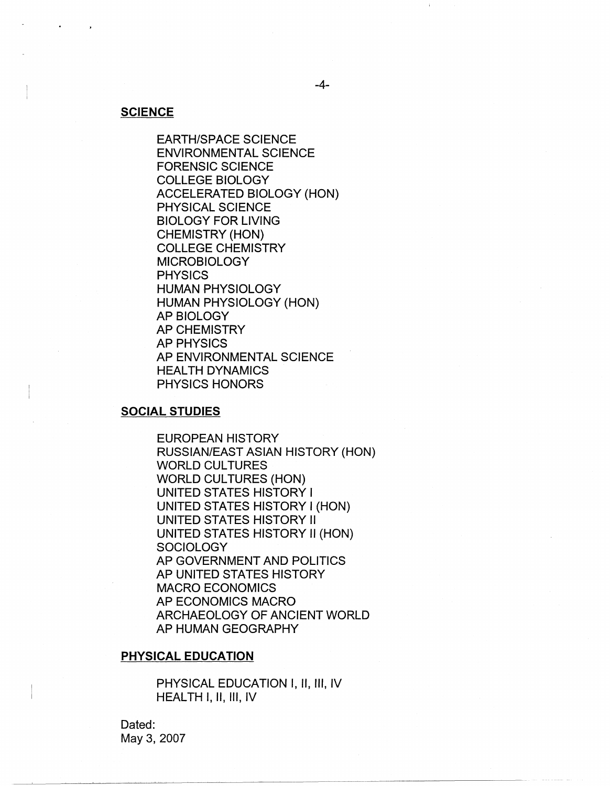#### **SCIENCE**

EARTH/SPACE SCIENCE ENVIRONMENTAL SCIENCE FORENSIC SCIENCE COLLEGE BIOLOGY ACCELERATED BIOLOGY (HON) PHYSICAL SCIENCE BIOLOGY FOR LIVING CHEMISTRY (HON) COLLEGE CHEMISTRY MICROBIOLOGY **PHYSICS** HUMAN PHYSIOLOGY HUMAN PHYSIOLOGY (HON) AP BIOLOGY AP CHEMISTRY AP PHYSICS AP ENVIRONMENTAL SCIENCE HEALTH DYNAMICS PHYSICS HONORS

### **SOCIAL STUDIES**

EUROPEAN HISTORY RUSSIAN/EAST ASIAN HISTORY (HON) **WORLD CULTURES** WORLD CULTURES (HON) UNITED STATES HISTORY I UNITED STATES HISTORY I (HON) UNITED STATES HISTORY II UNITED STATES HISTORY II (HON) **SOCIOLOGY** AP GOVERNMENT AND POLITICS AP UNITED STATES HISTORY MACRO ECONOMICS AP ECONOMICS MACRO ARCHAEOLOGY OF ANCIENT WORLD AP HUMAN GEOGRAPHY

### **PHYSICAL EDUCATION**

PHYSICAL EDUCATION I, II, Ill, IV HEALTH I, II, III, IV

Dated: May 3, 2007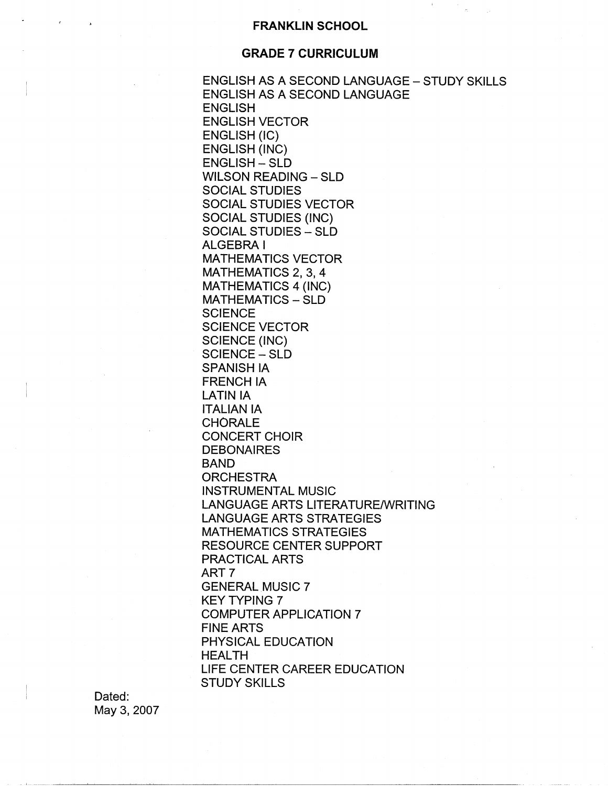### **FRANKLIN SCHOOL**

 $\pm$ 

### **GRADE 7 CURRICULUM**

ENGLISH AS A SECOND LANGUAGE - STUDY SKILLS ENGLISH AS A SECOND LANGUAGE ENGLISH ENGLISH VECTOR ENGLISH (IC) ENGLISH (INC) ENGLISH - SLD WILSON READING - SLD SOCIAL STUDIES SOCIAL STUDIES VECTOR SOCIAL STUDIES (INC) SOCIAL STUDIES - SLD ALGEBRA I MATHEMATICS VECTOR MATHEMATICS 2, 3, 4 MATHEMATICS 4 (INC) MATHEMATICS - SLD **SCIENCE** SCIENCE VECTOR SCIENCE (INC) SCIENCE - SLD SPANISH IA FRENCH IA LATIN IA ITALIAN IA **CHORALE** CONCERT CHOIR **DEBONAIRES** BAND **ORCHESTRA** INSTRUMENTAL MUSIC LANGUAGE ARTS LITERATURE/WRITING LANGUAGE ARTS STRATEGIES MATHEMATICS STRATEGIES RESOURCE CENTER SUPPORT PRACTICAL ARTS ART? GENERAL MUSIC 7 KEY TYPING 7 COMPUTER APPLICATION 7 FINE ARTS PHYSICAL EDUCATION HEALTH LIFE CENTER CAREER EDUCATION STUDY SKILLS

Dated: May 3, 2007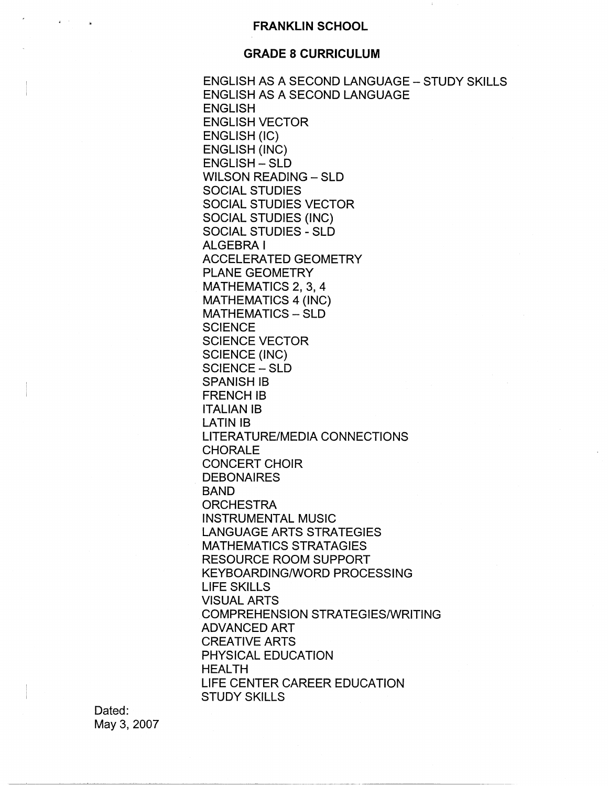### **GRADE 8 CURRICULUM**

ENGLISH AS A SECOND LANGUAGE - STUDY SKILLS ENGLISH AS A SECOND LANGUAGE ENGLISH ENGLISH VECTOR ENGLISH (IC) ENGLISH (INC) ENGLISH - SLD WILSON READING - SLD SOCIAL STUDIES SOCIAL STUDIES VECTOR SOCIAL STUDIES (INC) SOCIAL STUDIES - SLD ALGEBRA I ACCELERATED GEOMETRY PLANE GEOMETRY MATHEMATICS 2, 3, 4 MATHEMATICS 4 (INC) MATHEMATICS - SLD **SCIENCE** SCIENCE VECTOR SCIENCE (INC) SCIENCE - SLD SPANISH IB FRENCH IB ITALIAN IB LATIN IB LITERATURE/MEDIA CONNECTIONS CHORALE CONCERT CHOIR **DEBONAIRES** BAND **ORCHESTRA** INSTRUMENTAL MUSIC LANGUAGE ARTS STRATEGIES MATHEMATICS STRATAGIES RESOURCE ROOM SUPPORT KEYBOARDING/WORD PROCESSING LIFE SKILLS VISUAL ARTS COMPREHENSION STRATEGIES/WRITING ADVANCED ART CREATIVE ARTS PHYSICAL EDUCATION HEALTH LIFE CENTER CAREER EDUCATION STUDY SKILLS

Dated: May 3, 2007

 $\mathbf{q} = \mathbf{q}$  .